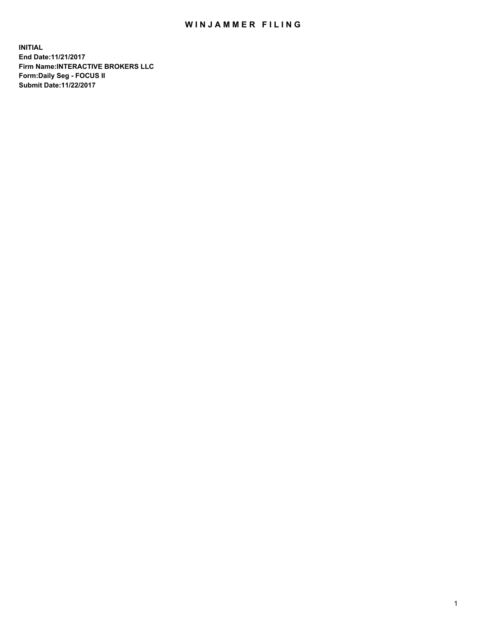## WIN JAMMER FILING

**INITIAL End Date:11/21/2017 Firm Name:INTERACTIVE BROKERS LLC Form:Daily Seg - FOCUS II Submit Date:11/22/2017**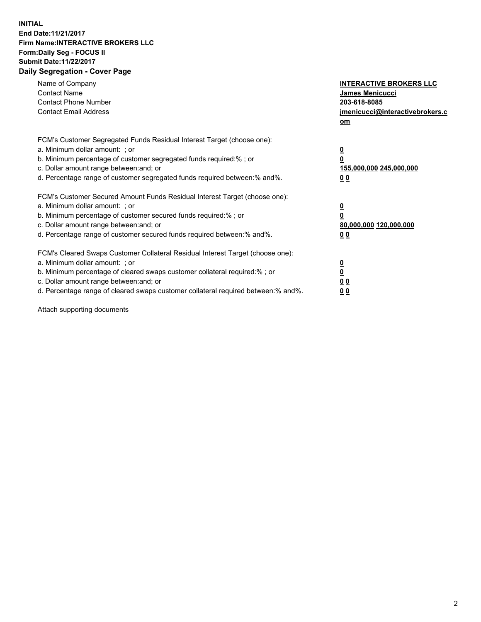## **INITIAL End Date:11/21/2017 Firm Name:INTERACTIVE BROKERS LLC Form:Daily Seg - FOCUS II Submit Date:11/22/2017 Daily Segregation - Cover Page**

| Name of Company<br><b>Contact Name</b><br><b>Contact Phone Number</b><br><b>Contact Email Address</b>                                                                                                                                                                                                                          | <b>INTERACTIVE BROKERS LLC</b><br><b>James Menicucci</b><br>203-618-8085<br><u>jmenicucci@interactivebrokers.c</u><br>om |
|--------------------------------------------------------------------------------------------------------------------------------------------------------------------------------------------------------------------------------------------------------------------------------------------------------------------------------|--------------------------------------------------------------------------------------------------------------------------|
| FCM's Customer Segregated Funds Residual Interest Target (choose one):<br>a. Minimum dollar amount: ; or<br>b. Minimum percentage of customer segregated funds required:%; or<br>c. Dollar amount range between: and; or<br>d. Percentage range of customer segregated funds required between:% and%.                          | <u>0</u><br>0<br><u>155,000,000 245,000,000</u><br>0 <sub>0</sub>                                                        |
| FCM's Customer Secured Amount Funds Residual Interest Target (choose one):<br>a. Minimum dollar amount: ; or<br>b. Minimum percentage of customer secured funds required:%; or<br>c. Dollar amount range between: and; or<br>d. Percentage range of customer secured funds required between:% and%.                            | $\overline{\mathbf{0}}$<br>0<br>80,000,000 120,000,000<br>0 <sub>0</sub>                                                 |
| FCM's Cleared Swaps Customer Collateral Residual Interest Target (choose one):<br>a. Minimum dollar amount: ; or<br>b. Minimum percentage of cleared swaps customer collateral required:% ; or<br>c. Dollar amount range between: and; or<br>d. Percentage range of cleared swaps customer collateral required between:% and%. | $\underline{\mathbf{0}}$<br>$\overline{\mathbf{0}}$<br>0 <sub>0</sub><br><u>00</u>                                       |

Attach supporting documents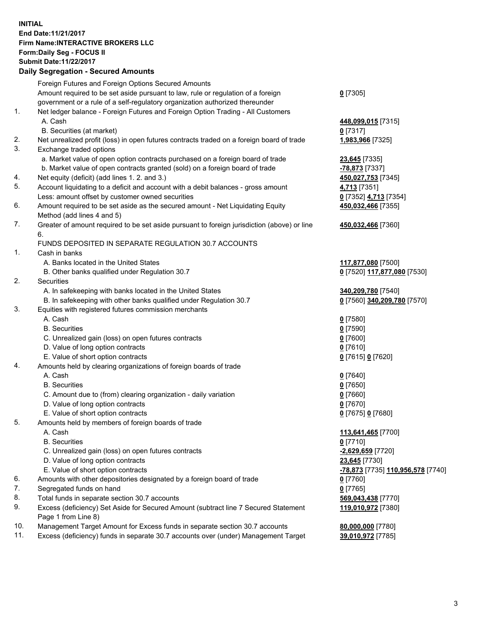## **INITIAL End Date:11/21/2017 Firm Name:INTERACTIVE BROKERS LLC Form:Daily Seg - FOCUS II Submit Date:11/22/2017 Daily Segregation - Secured Amounts**

|                | Daily Jegregation - Jeculed Aniounts                                                        |                                   |
|----------------|---------------------------------------------------------------------------------------------|-----------------------------------|
|                | Foreign Futures and Foreign Options Secured Amounts                                         |                                   |
|                | Amount required to be set aside pursuant to law, rule or regulation of a foreign            | $0$ [7305]                        |
|                | government or a rule of a self-regulatory organization authorized thereunder                |                                   |
| 1.             | Net ledger balance - Foreign Futures and Foreign Option Trading - All Customers             |                                   |
|                | A. Cash                                                                                     | 448,099,015 [7315]                |
|                | B. Securities (at market)                                                                   | $0$ [7317]                        |
| 2.             | Net unrealized profit (loss) in open futures contracts traded on a foreign board of trade   | 1,983,966 [7325]                  |
| 3.             | Exchange traded options                                                                     |                                   |
|                | a. Market value of open option contracts purchased on a foreign board of trade              | 23,645 [7335]                     |
|                | b. Market value of open contracts granted (sold) on a foreign board of trade                | -78,873 [7337]                    |
| 4.             | Net equity (deficit) (add lines 1.2. and 3.)                                                | 450,027,753 [7345]                |
| 5.             | Account liquidating to a deficit and account with a debit balances - gross amount           | 4,713 [7351]                      |
|                | Less: amount offset by customer owned securities                                            | 0 [7352] 4,713 [7354]             |
| 6.             | Amount required to be set aside as the secured amount - Net Liquidating Equity              | 450,032,466 [7355]                |
|                | Method (add lines 4 and 5)                                                                  |                                   |
| 7.             | Greater of amount required to be set aside pursuant to foreign jurisdiction (above) or line | 450,032,466 [7360]                |
|                | 6.                                                                                          |                                   |
|                | FUNDS DEPOSITED IN SEPARATE REGULATION 30.7 ACCOUNTS                                        |                                   |
| $\mathbf{1}$ . | Cash in banks                                                                               |                                   |
|                | A. Banks located in the United States                                                       | 117,877,080 [7500]                |
|                | B. Other banks qualified under Regulation 30.7                                              | 0 [7520] 117,877,080 [7530]       |
| 2.             | Securities                                                                                  |                                   |
|                | A. In safekeeping with banks located in the United States                                   | 340,209,780 [7540]                |
|                | B. In safekeeping with other banks qualified under Regulation 30.7                          | 0 [7560] 340,209,780 [7570]       |
| 3.             | Equities with registered futures commission merchants                                       |                                   |
|                | A. Cash                                                                                     | $0$ [7580]                        |
|                | <b>B.</b> Securities                                                                        | $0$ [7590]                        |
|                | C. Unrealized gain (loss) on open futures contracts                                         | $0$ [7600]                        |
|                | D. Value of long option contracts                                                           | $0$ [7610]                        |
|                | E. Value of short option contracts                                                          | 0 [7615] 0 [7620]                 |
| 4.             | Amounts held by clearing organizations of foreign boards of trade                           |                                   |
|                | A. Cash                                                                                     | $0$ [7640]                        |
|                | <b>B.</b> Securities                                                                        | $0$ [7650]                        |
|                | C. Amount due to (from) clearing organization - daily variation                             | $0$ [7660]                        |
|                | D. Value of long option contracts                                                           | $0$ [7670]                        |
|                | E. Value of short option contracts                                                          | 0 [7675] 0 [7680]                 |
| 5.             | Amounts held by members of foreign boards of trade                                          |                                   |
|                | A. Cash                                                                                     | 113,641,465 [7700]                |
|                | <b>B.</b> Securities                                                                        | $0$ [7710]                        |
|                | C. Unrealized gain (loss) on open futures contracts                                         | -2,629,659 [7720]                 |
|                | D. Value of long option contracts                                                           | 23,645 [7730]                     |
|                | E. Value of short option contracts                                                          | -78,873 [7735] 110,956,578 [7740] |
| 6.             | Amounts with other depositories designated by a foreign board of trade                      | 0 [7760]                          |
| 7.             | Segregated funds on hand                                                                    | $0$ [7765]                        |
| 8.             | Total funds in separate section 30.7 accounts                                               | 569,043,438 [7770]                |
| 9.             | Excess (deficiency) Set Aside for Secured Amount (subtract line 7 Secured Statement         | 119,010,972 [7380]                |
|                | Page 1 from Line 8)                                                                         |                                   |
| 10.            | Management Target Amount for Excess funds in separate section 30.7 accounts                 | 80,000,000 [7780]                 |
| 11.            | Excess (deficiency) funds in separate 30.7 accounts over (under) Management Target          | 39,010,972 [7785]                 |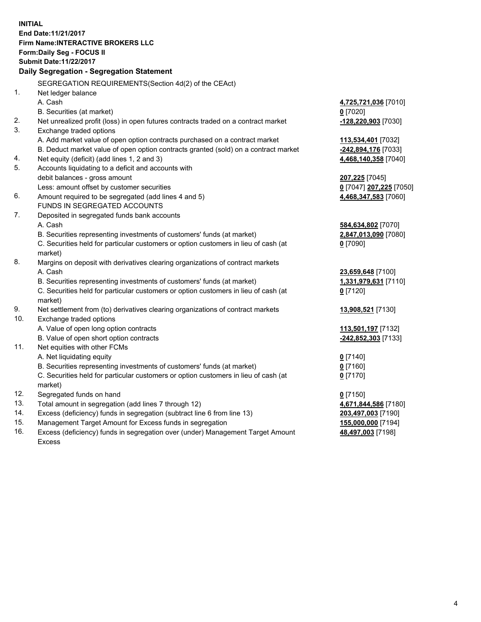**INITIAL End Date:11/21/2017 Firm Name:INTERACTIVE BROKERS LLC Form:Daily Seg - FOCUS II Submit Date:11/22/2017 Daily Segregation - Segregation Statement** SEGREGATION REQUIREMENTS(Section 4d(2) of the CEAct) 1. Net ledger balance A. Cash **4,725,721,036** [7010] B. Securities (at market) **0** [7020] 2. Net unrealized profit (loss) in open futures contracts traded on a contract market **-128,220,903** [7030] 3. Exchange traded options A. Add market value of open option contracts purchased on a contract market **113,534,401** [7032] B. Deduct market value of open option contracts granted (sold) on a contract market **-242,894,176** [7033] 4. Net equity (deficit) (add lines 1, 2 and 3) **4,468,140,358** [7040] 5. Accounts liquidating to a deficit and accounts with debit balances - gross amount **207,225** [7045] Less: amount offset by customer securities **0** [7047] **207,225** [7050] 6. Amount required to be segregated (add lines 4 and 5) **4,468,347,583** [7060] FUNDS IN SEGREGATED ACCOUNTS 7. Deposited in segregated funds bank accounts A. Cash **584,634,802** [7070] B. Securities representing investments of customers' funds (at market) **2,847,013,090** [7080] C. Securities held for particular customers or option customers in lieu of cash (at market) **0** [7090] 8. Margins on deposit with derivatives clearing organizations of contract markets A. Cash **23,659,648** [7100] B. Securities representing investments of customers' funds (at market) **1,331,979,631** [7110] C. Securities held for particular customers or option customers in lieu of cash (at market) **0** [7120] 9. Net settlement from (to) derivatives clearing organizations of contract markets **13,908,521** [7130] 10. Exchange traded options A. Value of open long option contracts **113,501,197** [7132] B. Value of open short option contracts **-242,852,303** [7133] 11. Net equities with other FCMs A. Net liquidating equity **0** [7140] B. Securities representing investments of customers' funds (at market) **0** [7160] C. Securities held for particular customers or option customers in lieu of cash (at market) **0** [7170] 12. Segregated funds on hand **0** [7150] 13. Total amount in segregation (add lines 7 through 12) **4,671,844,586** [7180] 14. Excess (deficiency) funds in segregation (subtract line 6 from line 13) **203,497,003** [7190] 15. Management Target Amount for Excess funds in segregation **155,000,000** [7194] **48,497,003** [7198]

16. Excess (deficiency) funds in segregation over (under) Management Target Amount Excess